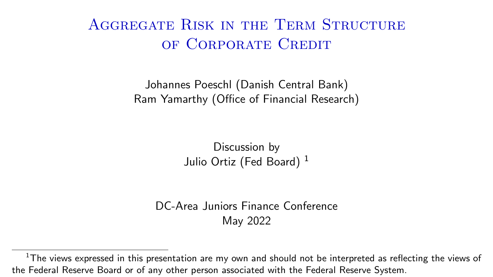# Aggregate Risk in the Term Structure of Corporate Credit

Johannes Poeschl (Danish Central Bank) Ram Yamarthy (Office of Financial Research)

> Discussion by Julio Ortiz (Fed Board)<sup>1</sup>

DC-Area Juniors Finance Conference May 2022

 $1$ The views expressed in this presentation are my own and should not be interpreted as reflecting the views of the Federal Reserve Board or of any other person associated with the Federal Reserve System.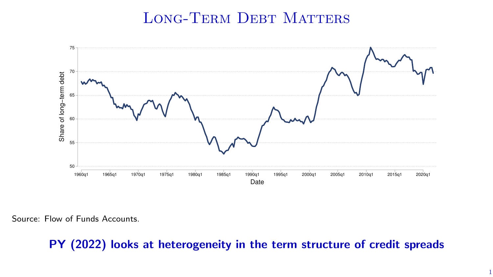### LONG-TERM DEBT MATTERS



Source: Flow of Funds Accounts.

PY (2022) looks at heterogeneity in the term structure of credit spreads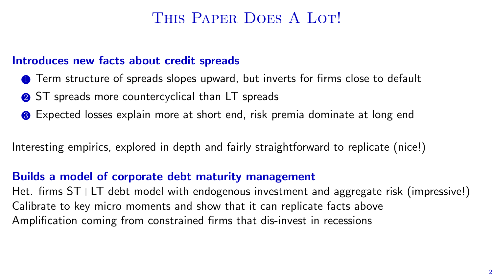### THIS PAPER DOES A LOT!

#### Introduces new facts about credit spreads

- **1** Term structure of spreads slopes upward, but inverts for firms close to default
- **2** ST spreads more countercyclical than LT spreads
- <sup>3</sup> Expected losses explain more at short end, risk premia dominate at long end

Interesting empirics, explored in depth and fairly straightforward to replicate (nice!)

#### Builds a model of corporate debt maturity management

Het. firms ST+LT debt model with endogenous investment and aggregate risk (impressive!) Calibrate to key micro moments and show that it can replicate facts above Amplification coming from constrained firms that dis-invest in recessions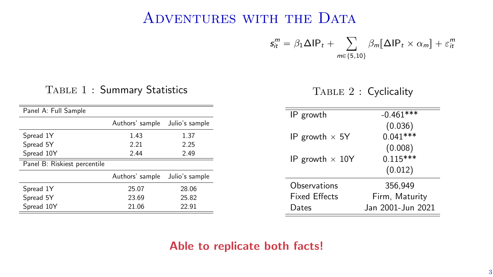### ADVENTURES WITH THE DATA

 $s_{it}^m = \beta_1 \Delta \mathsf{IP}_t +$ ÿ  $m \in \{5,10\}$  $\beta_m[\Delta \mathsf{IP}_t \times \alpha_m] + \varepsilon_m^m$ 

#### Table 1 : Summary Statistics

Table 2 : Cyclicality

| Panel A: Full Sample         |                 |                |
|------------------------------|-----------------|----------------|
|                              | Authors' sample | Julio's sample |
| Spread 1Y                    | 1.43            | 1.37           |
| Spread 5Y                    | 2.21            | 2.25           |
| Spread 10Y                   | 2.44            | 2.49           |
| Panel B: Riskiest percentile |                 |                |
|                              | Authors' sample | Julio's sample |
| Spread 1Y                    | 25.07           | 28.06          |
| Spread 5Y                    | 23.69           | 25.82          |
| Spread 10Y                   | 21.06           | 22.91          |

| IP growth              | $-0.461***$       |  |
|------------------------|-------------------|--|
|                        | (0.036)           |  |
| IP growth $\times$ 5Y  | $0.041***$        |  |
|                        | (0.008)           |  |
| IP growth $\times$ 10Y | $0.115***$        |  |
|                        | (0.012)           |  |
| Observations           | 356.949           |  |
| <b>Fixed Effects</b>   | Firm, Maturity    |  |
| Dates                  | Jan 2001-Jun 2021 |  |

#### Able to replicate both facts!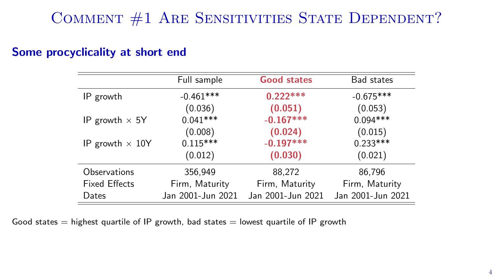# COMMENT #1 ARE SENSITIVITIES STATE DEPENDENT?

#### Some procyclicality at short end

|                        | Full sample       | <b>Good states</b> | Bad states        |
|------------------------|-------------------|--------------------|-------------------|
| IP growth              | $-0.461***$       | $0.222***$         | $-0.675***$       |
|                        | (0.036)           | (0.051)            | (0.053)           |
| IP growth $\times$ 5Y  | $0.041***$        | $-0.167***$        | $0.094***$        |
|                        | (0.008)           | (0.024)            | (0.015)           |
| IP growth $\times$ 10Y | $0.115***$        | $-0.197***$        | $0.233***$        |
|                        | (0.012)           | (0.030)            | (0.021)           |
| Observations           | 356,949           | 88,272             | 86,796            |
| <b>Fixed Effects</b>   | Firm, Maturity    | Firm, Maturity     | Firm, Maturity    |
| Dates                  | Jan 2001-Jun 2021 | Jan 2001-Jun 2021  | Jan 2001-Jun 2021 |

Good states  $=$  highest quartile of IP growth, bad states  $=$  lowest quartile of IP growth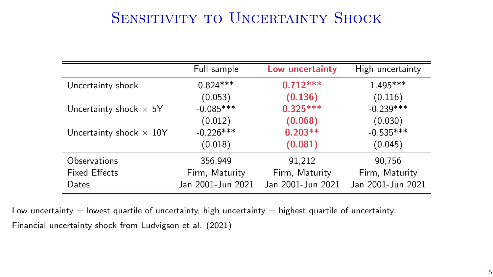## SENSITIVITY TO UNCERTAINTY SHOCK

|                                | Full sample       | Low uncertainty   | High uncertainty  |
|--------------------------------|-------------------|-------------------|-------------------|
| Uncertainty shock              | $0.824***$        | $0.712***$        | $1.495***$        |
|                                | (0.053)           | (0.136)           | (0.116)           |
| Uncertainty shock $\times$ 5Y  | $-0.085***$       | $0.325***$        | $-0.239***$       |
|                                | (0.012)           | (0.068)           | (0.030)           |
| Uncertainty shock $\times$ 10Y | $-0.226$ ***      | $0.203**$         | $-0.535***$       |
|                                | (0.018)           | (0.081)           | (0.045)           |
| Observations                   | 356.949           | 91.212            | 90.756            |
| <b>Fixed Effects</b>           | Firm, Maturity    | Firm, Maturity    | Firm, Maturity    |
| Dates                          | Jan 2001-Jun 2021 | Jan 2001-Jun 2021 | Jan 2001-Jun 2021 |

Low uncertainty  $=$  lowest quartile of uncertainty, high uncertainty  $=$  highest quartile of uncertainty. Financial uncertainty shock from Ludvigson et al. (2021)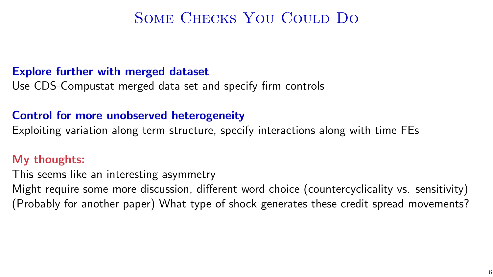## Some Checks You Could Do

#### Explore further with merged dataset

Use CDS-Compustat merged data set and specify firm controls

#### Control for more unobserved heterogeneity

Exploiting variation along term structure, specify interactions along with time FEs

#### My thoughts:

This seems like an interesting asymmetry Might require some more discussion, different word choice (countercyclicality vs. sensitivity) (Probably for another paper) What type of shock generates these credit spread movements?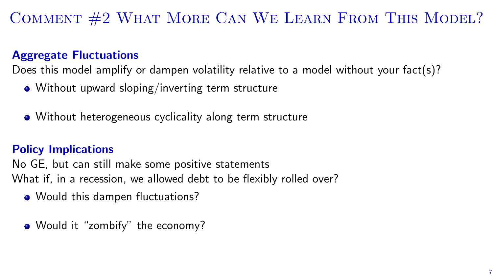# Comment #2 What More Can We Learn From This Model?

### Aggregate Fluctuations

Does this model amplify or dampen volatility relative to a model without your fact(s)?

- Without upward sloping/inverting term structure
- Without heterogeneous cyclicality along term structure

### Policy Implications

No GE, but can still make some positive statements What if, in a recession, we allowed debt to be flexibly rolled over?

- Would this dampen fluctuations?
- Would it "zombify" the economy?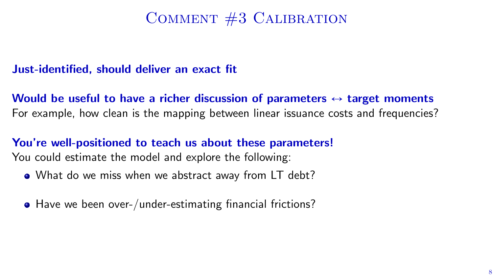## Comment #3 Calibration

### Just-identified, should deliver an exact fit

Would be useful to have a richer discussion of parameters  $\leftrightarrow$  target moments For example, how clean is the mapping between linear issuance costs and frequencies?

### You're well-positioned to teach us about these parameters! You could estimate the model and explore the following:

- What do we miss when we abstract away from LT debt?
- Have we been over-/under-estimating financial frictions?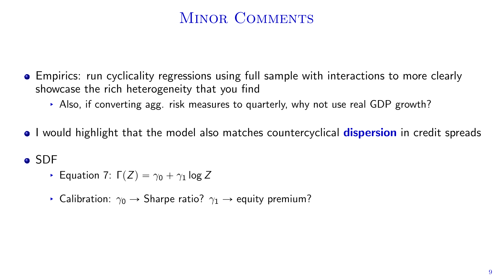# MINOR COMMENTS

- Empirics: run cyclicality regressions using full sample with interactions to more clearly showcase the rich heterogeneity that you find
	- § Also, if converting agg. risk measures to quarterly, why not use real GDP growth?
- I would highlight that the model also matches countercyclical **dispersion** in credit spreads

### SDF

- **Equation 7:**  $\Gamma(Z) = \gamma_0 + \gamma_1 \log Z$
- **•** Calibration:  $\gamma_0 \rightarrow$  Sharpe ratio?  $\gamma_1 \rightarrow$  equity premium?